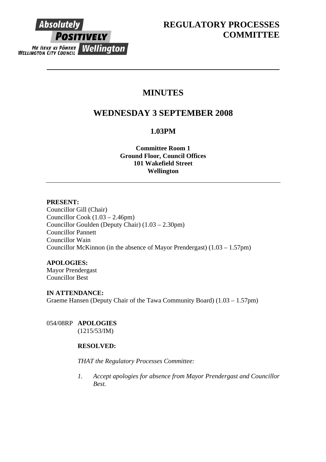

# **MINUTES**

# **WEDNESDAY 3 SEPTEMBER 2008**

## **1.03PM**

**Committee Room 1 Ground Floor, Council Offices 101 Wakefield Street Wellington** 

## **PRESENT:**

Councillor Gill (Chair) Councillor Cook (1.03 – 2.46pm) Councillor Goulden (Deputy Chair) (1.03 – 2.30pm) Councillor Pannett Councillor Wain Councillor McKinnon (in the absence of Mayor Prendergast) (1.03 – 1.57pm)

## **APOLOGIES:**

Mayor Prendergast Councillor Best

# **IN ATTENDANCE:**

Graeme Hansen (Deputy Chair of the Tawa Community Board) (1.03 – 1.57pm)

054/08RP **APOLOGIES**  (1215/53/IM)

## **RESOLVED:**

## *THAT the Regulatory Processes Committee:*

*1. Accept apologies for absence from Mayor Prendergast and Councillor Best.*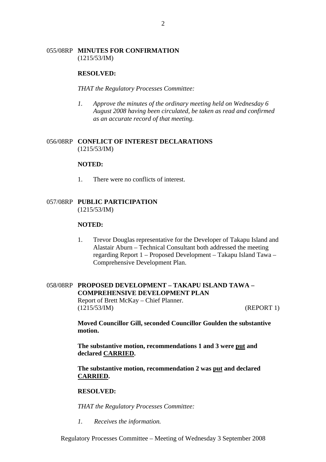## 055/08RP **MINUTES FOR CONFIRMATION** (1215/53/IM)

### **RESOLVED:**

*THAT the Regulatory Processes Committee:* 

*1. Approve the minutes of the ordinary meeting held on Wednesday 6 August 2008 having been circulated, be taken as read and confirmed as an accurate record of that meeting.* 

## 056/08RP **CONFLICT OF INTEREST DECLARATIONS** (1215/53/IM)

#### **NOTED:**

1. There were no conflicts of interest.

## 057/08RP **PUBLIC PARTICIPATION** (1215/53/IM)

#### **NOTED:**

1. Trevor Douglas representative for the Developer of Takapu Island and Alastair Aburn – Technical Consultant both addressed the meeting regarding Report 1 – Proposed Development – Takapu Island Tawa – Comprehensive Development Plan.

## 058/08RP **PROPOSED DEVELOPMENT – TAKAPU ISLAND TAWA – COMPREHENSIVE DEVELOPMENT PLAN** Report of Brett McKay – Chief Planner. (1215/53/IM) (REPORT 1)

**Moved Councillor Gill, seconded Councillor Goulden the substantive motion.** 

**The substantive motion, recommendations 1 and 3 were put and declared CARRIED.** 

**The substantive motion, recommendation 2 was put and declared CARRIED.** 

#### **RESOLVED:**

*THAT the Regulatory Processes Committee:*

*1. Receives the information.* 

Regulatory Processes Committee – Meeting of Wednesday 3 September 2008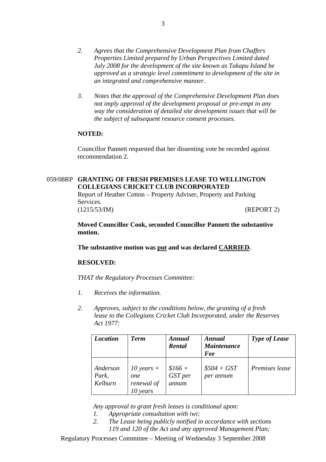- *2. Agrees that the Comprehensive Development Plan from Chaffers Properties Limited prepared by Urban Perspectives Limited dated July 2008 for the development of the site known as Takapu Island be approved as a strategic level commitment to development of the site in an integrated and comprehensive manner.*
- *3. Notes that the approval of the Comprehensive Development Plan does not imply approval of the development proposal or pre-empt in any way the consideration of detailed site development issues that will be the subject of subsequent resource consent processes.*

### **NOTED:**

Councillor Pannett requested that her dissenting vote be recorded against recommendation 2.

## 059/08RP **GRANTING OF FRESH PREMISES LEASE TO WELLINGTON COLLEGIANS CRICKET CLUB INCORPORATED**

Report of Heather Cotton – Property Adviser, Property and Parking Services. (1215/53/IM) (REPORT 2)

**Moved Councillor Cook, seconded Councillor Pannett the substantive motion.** 

**The substantive motion was put and was declared CARRIED.** 

## **RESOLVED:**

*THAT the Regulatory Processes Committee:* 

- *1. Receives the information.*
- *2. Approves, subject to the conditions below, the granting of a fresh lease to the Collegians Cricket Club Incorporated, under the Reserves Act 1977:*

| <b>Location</b>              | <b>Term</b>                                   | Annual<br>Rental             | <b>Annual</b><br><b>Maintenance</b><br>Fee | <b>Type of Lease</b> |
|------------------------------|-----------------------------------------------|------------------------------|--------------------------------------------|----------------------|
| Anderson<br>Park,<br>Kelburn | 10 years $+$<br>one<br>renewal of<br>10 years | $$166 +$<br>GST per<br>annum | $$504 + GST$<br>per annum                  | Premises lease       |

*Any approval to grant fresh leases is conditional upon:* 

- *1. Appropriate consultation with iwi;*
- *2. The Lease being publicly notified in accordance with sections 119 and 120 of the Act and any approved Management Plan;*

Regulatory Processes Committee – Meeting of Wednesday 3 September 2008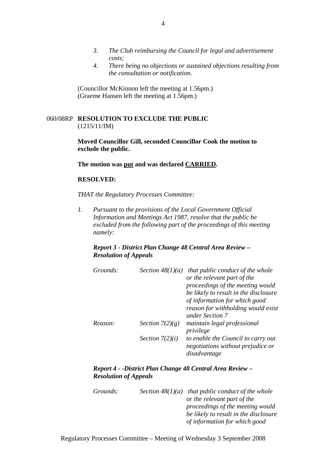- *3. The Club reimbursing the Council for legal and advertisement costs;*
- *4. There being no objections or sustained objections resulting from the consultation or notification.*

(Councillor McKinnon left the meeting at 1.56pm.) (Graeme Hansen left the meeting at 1.56pm.)

## 060/08RP **RESOLUTION TO EXCLUDE THE PUBLIC** (1215/11/IM)

**Moved Councillor Gill, seconded Councillor Cook the motion to exclude the public.** 

#### **The motion was put and was declared CARRIED.**

### **RESOLVED:**

*THAT the Regulatory Processes Committee:* 

*1. Pursuant to the provisions of the Local Government Official Information and Meetings Act 1987, resolve that the public be excluded from the following part of the proceedings of this meeting namely:* 

## *Report 3 - District Plan Change 48 Central Area Review – Resolution of Appeals*

| Grounds: | Section $48(1)(a)$ | that public conduct of the whole<br>or the relevant part of the<br>proceedings of the meeting would<br>be likely to result in the disclosure<br>of information for which good<br>reason for withholding would exist |
|----------|--------------------|---------------------------------------------------------------------------------------------------------------------------------------------------------------------------------------------------------------------|
|          |                    | under Section 7                                                                                                                                                                                                     |
| Reason:  | Section $7(2)(g)$  | maintain legal professional<br>privilege                                                                                                                                                                            |
|          | Section $7(2)(i)$  | to enable the Council to carry out<br>negotiations without prejudice or<br>disadvantage                                                                                                                             |

*Report 4 - -District Plan Change 48 Central Area Review – Resolution of Appeals* 

| Grounds: | Section $48(1)(a)$ that public conduct of the whole |
|----------|-----------------------------------------------------|
|          | or the relevant part of the                         |
|          | proceedings of the meeting would                    |
|          | be likely to result in the disclosure               |
|          | of information for which good                       |